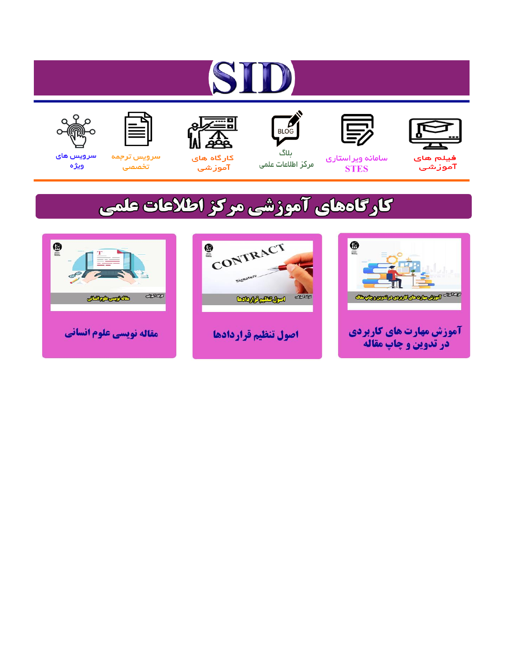# ST











مرکز اطلاعات علمی

 $\frac{1}{\sqrt{\frac{1}{100}}}$ ىلاگ



آموزشي

空

سرويس ترجمه تخصصى



سرویس های ويژه

## كارگاههای آموزشی مركز اطلاعات علمی





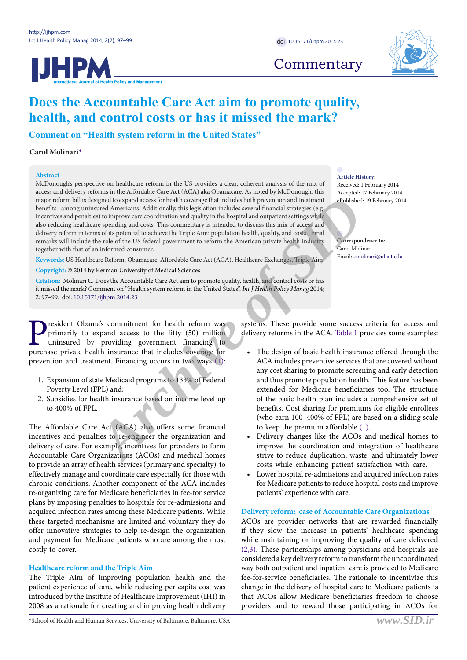HPA



**Commentary** 

### **Does the Accountable Care Act aim to promote quality, health, and control costs or has it missed the mark?**

**Comment on "Health system reform in the United States"**

#### **Carol Molinari\***

#### **Abstract**

McDonough's perspective on healthcare reform in the US provides a clear, coherent analysis of the mix of access and delivery reforms in the Affordable Care Act (ACA) aka Obamacare. As noted by McDonough, this major reform bill is designed to expand access for health coverage that includes both prevention and treatment benefits among uninsured Americans. Additionally, this legislation includes several financial strategies (e.g. incentives and penalties) to improve care coordination and quality in the hospital and outpatient settings while also reducing healthcare spending and costs. This commentary is intended to discuss this mix of access and delivery reform in terms of its potential to achieve the Triple Aim: population health, quality, and costs. Final remarks will include the role of the US federal government to reform the American private health industry together with that of an informed consumer. Archibre and access for health coverage that includes bustpered to expand and transmitted to the size of the size of the size of the size of the size of the size of the size of the size of the size of the size of the size

**Keywords:** US Healthcare Reform, Obamacare, Affordable Care Act (ACA), Healthcare Exchanges, Triple Aim

**Copyright:** © 2014 by Kerman University of Medical Sciences

**Citation:** Molinari C. Does the Accountable Care Act aim to promote quality, health, and control costs or has it missed the mark? Comment on "Health system reform in the United States". *Int J Health Policy Manag* 2014; 2: 97–99. doi: [10.15171/ijhpm.2014.23](http://dx.doi.org/10.15171/ijhpm.2014.23)

**P** resident Obama's commitment for health reform was primarily to expand access to the fifty (50) million uninsured by providing government financing to purchase private health insurance that includes coverage for primarily to expand access to the fifty (50) million uninsured by providing government financing to purchase private health insurance that includes coverage for prevention and treatment. Financing occurs in two ways (1):

- 1. Expansion of state Medicaid programs to 133% of Federal Poverty Level (FPL) and;
- 2. Subsidies for health insurance based on income level up to 400% of FPL.

The Affordable Care Act (ACA) also offers some financial incentives and penalties to re-engineer the organization and delivery of care. For example, incentives for providers to form Accountable Care Organizations (ACOs) and medical homes to provide an array of health services (primary and specialty) to effectively manage and coordinate care especially for those with chronic conditions. Another component of the ACA includes re-organizing care for Medicare beneficiaries in fee-for service plans by imposing penalties to hospitals for re-admissions and acquired infection rates among these Medicare patients. While these targeted mechanisms are limited and voluntary they do offer innovative strategies to help re-design the organization and payment for Medicare patients who are among the most costly to cover.

#### **Healthcare reform and the Triple Aim**

The Triple Aim of improving population health and the patient experience of care, while reducing per capita cost was introduced by the Institute of Healthcare Improvement (IHI) in 2008 as a rationale for creating and improving health delivery

**Article History:** Received: 1 February 2014 Accepted: 17 February 2014 ePublished: 19 February 2014

**Correspondence to**: Carol Molinari Email: cmolinari@ubalt.edu

systems. These provide some success criteria for access and delivery reforms in the ACA. Table 1 provides some examples:

- The design of basic health insurance offered through the ACA includes preventive services that are covered without any cost sharing to promote screening and early detection and thus promote population health. This feature has been extended for Medicare beneficiaries too. The structure of the basic health plan includes a comprehensive set of benefits. Cost sharing for premiums for eligible enrollees (who earn 100–400% of FPL) are based on a sliding scale to keep the premium affordable (1).
- Delivery changes like the ACOs and medical homes to improve the coordination and integration of healthcare strive to reduce duplication, waste, and ultimately lower costs while enhancing patient satisfaction with care.
- Lower hospital re-admissions and acquired infection rates for Medicare patients to reduce hospital costs and improve patients' experience with care.

#### **Delivery reform: case of Accountable Care Organizations**

ACOs are provider networks that are rewarded financially if they slow the increase in patients' healthcare spending while maintaining or improving the quality of care delivered (2,3). These partnerships among physicians and hospitals are considered a key delivery reform to transform the uncoordinated way both outpatient and inpatient care is provided to Medicare fee-for-service beneficiaries. The rationale to incentivize this change in the delivery of hospital care to Medicare patients is that ACOs allow Medicare beneficiaries freedom to choose providers and to reward those participating in ACOs for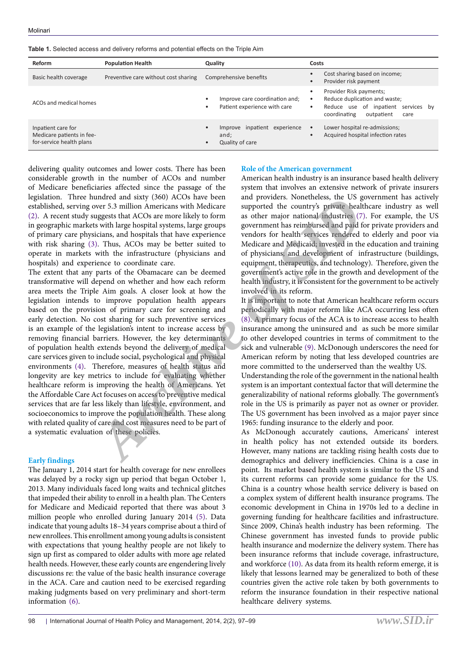**Table 1.** Selected access and delivery reforms and potential effects on the Triple Aim

| Reform                                                                      | <b>Population Health</b>             | Quality                                                                              | Costs                                                                                                                                                                           |
|-----------------------------------------------------------------------------|--------------------------------------|--------------------------------------------------------------------------------------|---------------------------------------------------------------------------------------------------------------------------------------------------------------------------------|
| Basic health coverage                                                       | Preventive care without cost sharing | Comprehensive benefits                                                               | Cost sharing based on income;<br>Provider risk payment<br>$\bullet$                                                                                                             |
| ACO <sub>s</sub> and medical homes                                          |                                      | Improve care coordination and;<br>Patient experience with care                       | Provider Risk payments;<br>$\bullet$<br>Reduce duplication and waste;<br>$\bullet$<br>Reduce use of inpatient<br>services by<br>$\bullet$<br>coordinating<br>outpatient<br>care |
| Inpatient care for<br>Medicare patients in fee-<br>for-service health plans |                                      | Improve inpatient<br>experience<br>$\bullet$<br>and;<br>Quality of care<br>$\bullet$ | Lower hospital re-admissions;<br>$\bullet$<br>Acquired hospital infection rates<br>$\bullet$                                                                                    |

delivering quality outcomes and lower costs. There has been considerable growth in the number of ACOs and number of Medicare beneficiaries affected since the passage of the legislation. Three hundred and sixty (360) ACOs have been established, serving over 5.3 million Americans with Medicare (2). A recent study suggests that ACOs are more likely to form in geographic markets with large hospital systems, large groups of primary care physicians, and hospitals that have experience with risk sharing (3). Thus, ACOs may be better suited to operate in markets with the infrastructure (physicians and hospitals) and experience to coordinate care.

The extent that any parts of the Obamacare can be deemed transformative will depend on whether and how each reform area meets the Triple Aim goals. A closer look at how the legislation intends to improve population health appears based on the provision of primary care for screening and early detection. No cost sharing for such preventive services is an example of the legislation's intent to increase access by removing financial barriers. However, the key determinants of population health extends beyond the delivery of medical care services given to include social, psychological and physical environments (4). Therefore, measures of health status and longevity are key metrics to include for evaluating whether healthcare reform is improving the health of Americans. Yet the Affordable Care Act focuses on access to preventive medical services that are far less likely than lifestyle, environment, and socioeconomics to improve the population health. These along with related quality of care and cost measures need to be part of a systematic evaluation of these policies. and providers. Nonetheets, the OS and providers. Nonetheets, the CS and in the section and providers. Nonetheets, the CS and in Archivations, and hospitals statement are experiment that reinary is with large hospitals sta

#### **Early findings**

The January 1, 2014 start for health coverage for new enrollees was delayed by a rocky sign up period that began October 1, 2013. Many individuals faced long waits and technical glitches that impeded their ability to enroll in a health plan. The Centers for Medicare and Medicaid reported that there was about 3 million people who enrolled during January 2014 (5). Data indicate that young adults 18–34 years comprise about a third of new enrollees. This enrollment among young adults is consistent with expectations that young healthy people are not likely to sign up first as compared to older adults with more age related health needs. However, these early counts are engendering lively discussions re: the value of the basic health insurance coverage in the ACA. Care and caution need to be exercised regarding making judgments based on very preliminary and short-term information (6).

#### **Role of the American government**

American health industry is an insurance based health delivery system that involves an extensive network of private insurers and providers. Nonetheless, the US government has actively supported the country's private healthcare industry as well as other major national industries (7). For example, the US government has reimbursed and paid for private providers and vendors for health services rendered to elderly and poor via Medicare and Medicaid; invested in the education and training of physicians; and development of infrastructure (buildings, equipment, therapeutics, and technology). Therefore, given the government's active role in the growth and development of the health industry, it is consistent for the government to be actively involved in its reform.

It is important to note that American healthcare reform occurs periodically with major reform like ACA occurring less often (8). A primary focus of the ACA is to increase access to health insurance among the uninsured and as such be more similar to other developed countries in terms of commitment to the sick and vulnerable (9). McDonough underscores the need for American reform by noting that less developed countries are more committed to the underserved than the wealthy US.

Understanding the role of the government in the national health system is an important contextual factor that will determine the generalizability of national reforms globally. The government's role in the US is primarily as payer not as owner or provider. The US government has been involved as a major payer since 1965: funding insurance to the elderly and poor.

As McDonough accurately cautions, Americans' interest in health policy has not extended outside its borders. However, many nations are tackling rising health costs due to demographics and delivery inefficiencies. China is a case in point. Its market based health system is similar to the US and its current reforms can provide some guidance for the US. China is a country whose health service delivery is based on a complex system of different health insurance programs. The economic development in China in 1970s led to a decline in governing funding for healthcare facilities and infrastructure. Since 2009, China's health industry has been reforming. The Chinese government has invested funds to provide public health insurance and modernize the delivery system. There has been insurance reforms that include coverage, infrastructure, and workforce (10). As data from its health reform emerge, it is likely that lessons learned may be generalized to both of these countries given the active role taken by both governments to reform the insurance foundation in their respective national healthcare delivery systems.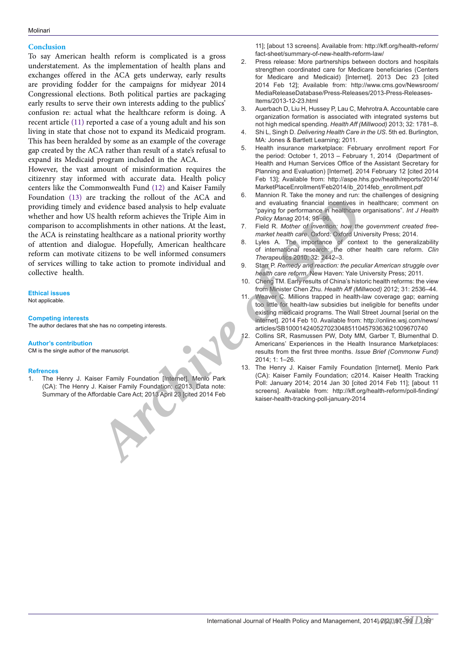#### **Conclusion**

To say American health reform is complicated is a gross understatement. As the implementation of health plans and exchanges offered in the ACA gets underway, early results are providing fodder for the campaigns for midyear 2014 Congressional elections. Both political parties are packaging early results to serve their own interests adding to the publics' confusion re: actual what the healthcare reform is doing. A recent article (11) reported a case of a young adult and his son living in state that chose not to expand its Medicaid program. This has been heralded by some as an example of the coverage gap created by the ACA rather than result of a state's refusal to expand its Medicaid program included in the ACA.

However, the vast amount of misinformation requires the citizenry stay informed with accurate data. Health policy centers like the Commonwealth Fund (12) and Kaiser Family Foundation (13) are tracking the rollout of the ACA and providing timely and evidence based analysis to help evaluate whether and how US health reform achieves the Triple Aim in comparison to accomplishments in other nations. At the least, the ACA is reinstating healthcare as a national priority worthy of attention and dialogue. Hopefully, American healthcare reform can motivate citizens to be well informed consumers of services willing to take action to promote individual and collective health. tracking the rollout of the ACR and <sup>5</sup> contained the ACR and <sup>5</sup> contained and evaluating financial insemitives in<br>
leadith-trom achieves the Triple Aim in Teology for performance in insemitive of *investigation Archive* 

**Ethical issues** Not applicable.

#### **Competing interests**

The author declares that she has no competing interests.

#### **Author's contribution**

CM is the single author of the manuscript.

#### **Refrences**

1. The Henry J. Kaiser Family Foundation [Internet]. Menlo Park (CA): The Henry J. Kaiser Family Foundation; c2013. Data note: Summary of the Affordable Care Act; 2013 April 23 [cited 2014 Feb 11]; [about 13 screens]. Available from: http://kff.org/health-reform/ fact-sheet/summary-of-new-health-reform-law/

- 2. Press release: More partnerships between doctors and hospitals strengthen coordinated care for Medicare beneficiaries (Centers for Medicare and Medicaid) [Internet]. 2013 Dec 23 [cited 2014 Feb 12]; Available from: http://www.cms.gov/Newsroom/ MediaReleaseDatabase/Press-Releases/2013-Press-Releases-Items/2013-12-23.html
- 3. Auerbach D, Liu H, Hussey P, Lau C, Mehrotra A. Accountable care organization formation is associated with integrated systems but not high medical spending. *Health Aff (Millwood)* 2013; 32: 1781–8.
- 4. Shi L, Singh D. *Delivering Health Care in the US*. 5th ed. Burlington, MA: Jones & Bartlett Learning; 2011.
- 5. Health insurance marketplace: February enrollment report For the period: October 1, 2013 – February 1, 2014 (Department of Health and Human Services Office of the Assistant Secretary for Planning and Evaluation) [Internet]. 2014 February 12 [cited 2014 Feb 13]; Available from: http://aspe.hhs.gov/health/reports/2014/ MarketPlaceEnrollment/Feb2014/ib\_2014feb\_enrollment.pdf
- 6. Mannion R. Take the money and run: the challenges of designing and evaluating financial incentives in healthcare; comment on "paying for performance in healthcare organisations". *Int J Health Policy Manag* 2014; 95–96.
- Field R. Mother of invention: how the government created free*market health care*. Oxford: Oxford University Press; 2014.
- 8. Lyles A. The importance of context to the generalizability of international research: the other health care reform. *Clin Therapeutics* 2010; 32: 2442–3.
- 9. Starr P. *Remedy and reaction: the peculiar American struggle over health care reform*. New Haven: Yale University Press; 2011.
- 10. Cheng TM. Early results of China's historic health reforms: the view from Minister Chen Zhu. *Health Aff (Millwood)* 2012; 31: 2536–44.
- 11. Weaver C. Millions trapped in health-law coverage gap; earning too little for health-law subsidies but ineligible for benefits under existing medicaid programs. The Wall Street Journal [serial on the internet]. 2014 Feb 10. Available from: http://online.wsj.com/news/ articles/SB10001424052702304851104579363621009670740
- 12. Collins SR, Rasmussen PW, Doty MM, Garber T, Blumenthal D. Americans' Experiences in the Health Insurance Marketplaces: results from the first three months. *Issue Brief (Commonw Fund)*  2014; 1: 1–26.
- 13. The Henry J. Kaiser Family Foundation [Internet]. Menlo Park (CA): Kaiser Family Foundation; c2014. Kaiser Health Tracking Poll: January 2014; 2014 Jan 30 [cited 2014 Feb 11]; [about 11 screens]. Available from: http://kff.org/health-reform/poll-finding/<br>kaiser-health-tracking-poll-january-2014